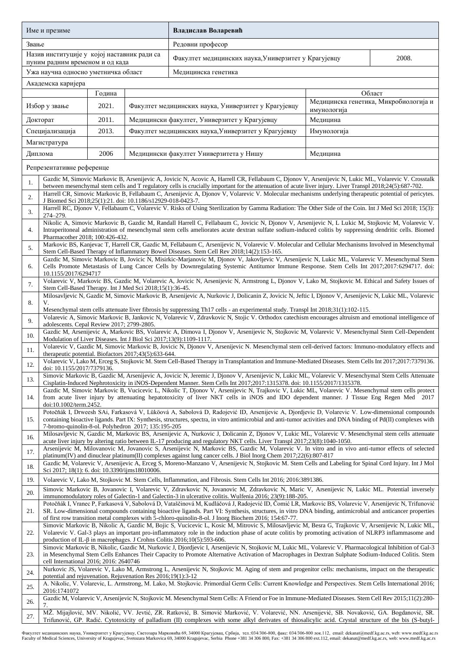| Име и презиме                                                                  |                                                                                                                                                                                                                                                                                                                                                                                                                              |                                                                                                                                                                                                                                                          |                                                      | Владислав Воларевић                                                                                                                                                                                                                                                                                               |                         |                                                 |  |  |  |
|--------------------------------------------------------------------------------|------------------------------------------------------------------------------------------------------------------------------------------------------------------------------------------------------------------------------------------------------------------------------------------------------------------------------------------------------------------------------------------------------------------------------|----------------------------------------------------------------------------------------------------------------------------------------------------------------------------------------------------------------------------------------------------------|------------------------------------------------------|-------------------------------------------------------------------------------------------------------------------------------------------------------------------------------------------------------------------------------------------------------------------------------------------------------------------|-------------------------|-------------------------------------------------|--|--|--|
| Звање                                                                          |                                                                                                                                                                                                                                                                                                                                                                                                                              |                                                                                                                                                                                                                                                          |                                                      | Редовни професор                                                                                                                                                                                                                                                                                                  |                         |                                                 |  |  |  |
| Назив институције у којој наставник ради са<br>пуним радним временом и од када |                                                                                                                                                                                                                                                                                                                                                                                                                              |                                                                                                                                                                                                                                                          |                                                      | Факултет медицинских наука, Универзитет у Крагујевцу                                                                                                                                                                                                                                                              | 2008.                   |                                                 |  |  |  |
|                                                                                | Ужа научна односно уметничка област                                                                                                                                                                                                                                                                                                                                                                                          |                                                                                                                                                                                                                                                          |                                                      | Медицинска генетика                                                                                                                                                                                                                                                                                               |                         |                                                 |  |  |  |
|                                                                                | Академска каријера                                                                                                                                                                                                                                                                                                                                                                                                           |                                                                                                                                                                                                                                                          |                                                      |                                                                                                                                                                                                                                                                                                                   |                         |                                                 |  |  |  |
|                                                                                | Избор у звање                                                                                                                                                                                                                                                                                                                                                                                                                | Година<br>2021.                                                                                                                                                                                                                                          |                                                      | Факултет медицинских наука, Универзитет у Крагујевцу                                                                                                                                                                                                                                                              |                         | Област<br>Медицинска генетика, Микробиологија и |  |  |  |
| Докторат                                                                       |                                                                                                                                                                                                                                                                                                                                                                                                                              | 2011.                                                                                                                                                                                                                                                    | Медицински факултет, Универзитет у Крагујевцу        |                                                                                                                                                                                                                                                                                                                   | имунологија<br>Медицина |                                                 |  |  |  |
| Специјализација                                                                |                                                                                                                                                                                                                                                                                                                                                                                                                              | 2013.                                                                                                                                                                                                                                                    | Факултет медицинских наука, Универзитет у Крагујевцу |                                                                                                                                                                                                                                                                                                                   | Имунологија             |                                                 |  |  |  |
| Магистратура                                                                   |                                                                                                                                                                                                                                                                                                                                                                                                                              |                                                                                                                                                                                                                                                          |                                                      |                                                                                                                                                                                                                                                                                                                   |                         |                                                 |  |  |  |
|                                                                                | Диплома                                                                                                                                                                                                                                                                                                                                                                                                                      | 2006                                                                                                                                                                                                                                                     |                                                      | Медицински факултет Универзитета у Нишу                                                                                                                                                                                                                                                                           | Медицина                |                                                 |  |  |  |
| Репрезентативне референце                                                      |                                                                                                                                                                                                                                                                                                                                                                                                                              |                                                                                                                                                                                                                                                          |                                                      |                                                                                                                                                                                                                                                                                                                   |                         |                                                 |  |  |  |
| 1.                                                                             |                                                                                                                                                                                                                                                                                                                                                                                                                              |                                                                                                                                                                                                                                                          |                                                      | Gazdic M, Simovic Markovic B, Arsenijevic A, Jovicic N, Acovic A, Harrell CR, Fellabaum C, Djonov V, Arsenijevic N, Lukic ML, Volarevic V. Crosstalk<br>between mesenchymal stem cells and T regulatory cells is crucially important for the attenuation of acute liver injury. Liver Transpl 2018;24(5):687-702. |                         |                                                 |  |  |  |
| 2.                                                                             | Harrell CR, Simovic Markovic B, Fellabaum C, Arsenijevic A, Djonov V, Volarevic V. Molecular mechanisms underlying therapeutic potential of pericytes.<br>J Biomed Sci 2018;25(1):21. doi: 10.1186/s12929-018-0423-7.                                                                                                                                                                                                        |                                                                                                                                                                                                                                                          |                                                      |                                                                                                                                                                                                                                                                                                                   |                         |                                                 |  |  |  |
| 3.                                                                             | Harrell RC, Djonov V, Fellabaum C, Volarevic V. Risks of Using Sterilization by Gamma Radiation: The Other Side of the Coin. Int J Med Sci 2018; 15(3):<br>274-279.                                                                                                                                                                                                                                                          |                                                                                                                                                                                                                                                          |                                                      |                                                                                                                                                                                                                                                                                                                   |                         |                                                 |  |  |  |
| 4.                                                                             | Nikolic A, Simovic Markovic B, Gazdic M, Randall Harrell C, Fellabaum C, Jovicic N, Djonov V, Arsenijevic N, L Lukic M, Stojkovic M, Volarevic V.<br>Intraperitoneal administration of mesenchymal stem cells ameliorates acute dextran sulfate sodium-induced colitis by suppressing dendritic cells. Biomed                                                                                                                |                                                                                                                                                                                                                                                          |                                                      |                                                                                                                                                                                                                                                                                                                   |                         |                                                 |  |  |  |
| 5.                                                                             | Pharmacother 2018; 100:426-432.<br>Markovic BS, Kanjevac T, Harrell CR, Gazdic M, Fellabaum C, Arsenijevic N, Volarevic V. Molecular and Cellular Mechanisms Involved in Mesenchymal                                                                                                                                                                                                                                         |                                                                                                                                                                                                                                                          |                                                      |                                                                                                                                                                                                                                                                                                                   |                         |                                                 |  |  |  |
| 6.                                                                             | Stem Cell-Based Therapy of Inflammatory Bowel Diseases. Stem Cell Rev 2018;14(2):153-165.<br>Gazdic M, Simovic Markovic B, Jovicic N, Misirkic-Marjanovic M, Djonov V, Jakovljevic V, Arsenijevic N, Lukic ML, Volarevic V. Mesenchymal Stem<br>Cells Promote Metastasis of Lung Cancer Cells by Downregulating Systemic Antitumor Immune Response. Stem Cells Int 2017;2017:6294717. doi:                                   |                                                                                                                                                                                                                                                          |                                                      |                                                                                                                                                                                                                                                                                                                   |                         |                                                 |  |  |  |
| 7.                                                                             | 10.1155/2017/6294717<br>Volarevic V, Markovic BS, Gazdic M, Volarevic A, Jovicic N, Arsenijevic N, Armstrong L, Djonov V, Lako M, Stojkovic M. Ethical and Safety Issues of<br>Stem Cell-Based Therapy. Int J Med Sci 2018;15(1):36-45.                                                                                                                                                                                      |                                                                                                                                                                                                                                                          |                                                      |                                                                                                                                                                                                                                                                                                                   |                         |                                                 |  |  |  |
| 8.                                                                             | Milosavljevic N, Gazdic M, Simovic Markovic B, Arsenijevic A, Nurkovic J, Dolicanin Z, Jovicic N, Jeftic I, Djonov V, Arsenijevic N, Lukic ML, Volarevic<br>V.                                                                                                                                                                                                                                                               |                                                                                                                                                                                                                                                          |                                                      |                                                                                                                                                                                                                                                                                                                   |                         |                                                 |  |  |  |
| 9.                                                                             | Mesenchymal stem cells attenuate liver fibrosis by suppressing Th17 cells - an experimental study. Transpl Int 2018;31(1):102-115.<br>Volarevic A, Simovic Markovic B, Jankovic N, Volarevic V, Zdravkovic N, Stojic V. Orthodox catechism encourages altruism and emotional intelligence of                                                                                                                                 |                                                                                                                                                                                                                                                          |                                                      |                                                                                                                                                                                                                                                                                                                   |                         |                                                 |  |  |  |
| 10.                                                                            | adolescents. Cepal Review 2017; 2799-2805.<br>Gazdic M, Arsenijevic A, Markovic BS, Volarevic A, Dimova I, Djonov V, Arsenijevic N, Stojkovic M, Volarevic V. Mesenchymal Stem Cell-Dependent                                                                                                                                                                                                                                |                                                                                                                                                                                                                                                          |                                                      |                                                                                                                                                                                                                                                                                                                   |                         |                                                 |  |  |  |
| 11.                                                                            | Modulation of Liver Diseases. Int J Biol Sci 2017;13(9):1109-1117.<br>Volarevic V, Gazdic M, Simovic Markovic B, Jovicic N, Djonov V, Arsenijevic N. Mesenchymal stem cell-derived factors: Immuno-modulatory effects and                                                                                                                                                                                                    |                                                                                                                                                                                                                                                          |                                                      |                                                                                                                                                                                                                                                                                                                   |                         |                                                 |  |  |  |
| 12.                                                                            | therapeutic potential. Biofactors 2017;43(5):633-644.<br>Volarevic V, Lako M, Erceg S, Stojkovic M. Stem Cell-Based Therapy in Transplantation and Immune-Mediated Diseases. Stem Cells Int 2017;2017:7379136.<br>doi: 10.1155/2017/7379136.                                                                                                                                                                                 |                                                                                                                                                                                                                                                          |                                                      |                                                                                                                                                                                                                                                                                                                   |                         |                                                 |  |  |  |
| 13.                                                                            | Simovic Markovic B, Gazdic M, Arsenijevic A, Jovicic N, Jeremic J, Djonov V, Arsenijevic N, Lukic ML, Volarevic V. Mesenchymal Stem Cells Attenuate<br>Cisplatin-Induced Nephrotoxicity in iNOS-Dependent Manner. Stem Cells Int 2017;2017:1315378. doi: 10.1155/2017/1315378.                                                                                                                                               |                                                                                                                                                                                                                                                          |                                                      |                                                                                                                                                                                                                                                                                                                   |                         |                                                 |  |  |  |
| 14.                                                                            | Gazdic M, Simovic Markovic B, Vucicevic L, Nikolic T, Djonov V, Arsenijevic N, Trajkovic V, Lukic ML, Volarevic V. Mesenchymal stem cells protect<br>from acute liver injury by attenuating hepatotoxicity of liver NKT cells in iNOS and IDO dependent manner. J Tissue Eng Regen Med 2017                                                                                                                                  |                                                                                                                                                                                                                                                          |                                                      |                                                                                                                                                                                                                                                                                                                   |                         |                                                 |  |  |  |
| 15.                                                                            | doi:10.1002/term.2452.<br>Potočňák I, Drweesh SAi, Farkasová V, Lüköová A, Sabolová D, Radojević ID, Arsenijevic A, Djordjevic D, Volarevic V. Low-dimensional compounds<br>containing bioactive ligands. Part IX: Synthesis, structures, spectra, in vitro antimicrobial and anti-tumor activities and DNA binding of Pd(II) complexes with                                                                                 |                                                                                                                                                                                                                                                          |                                                      |                                                                                                                                                                                                                                                                                                                   |                         |                                                 |  |  |  |
| 16.                                                                            | 7-bromo-quinolin-8-ol. Polyhedron 2017; 135:195-205                                                                                                                                                                                                                                                                                                                                                                          |                                                                                                                                                                                                                                                          |                                                      | Milosavljevic N, Gazdic M, Markovic BS, Arsenijevic A, Nurkovic J, Dolicanin Z, Djonov V, Lukic ML, Volarevic V. Mesenchymal stem cells attenuate                                                                                                                                                                 |                         |                                                 |  |  |  |
| 17.                                                                            | acute liver injury by altering ratio between IL-17 producing and regulatory NKT cells. Liver Transpl 2017;23(8):1040-1050.<br>Arsenijevic M, Milovanovic M, Jovanovic S, Arsenijevic N, Markovic BS, Gazdic M, Volarevic V. In vitro and in vivo anti-tumor effects of selected                                                                                                                                              |                                                                                                                                                                                                                                                          |                                                      |                                                                                                                                                                                                                                                                                                                   |                         |                                                 |  |  |  |
| 18.                                                                            | platinum(IV) and dinuclear platinum(II) complexes against lung cancer cells. J Biol Inorg Chem 2017;22(6):807-817<br>Gazdic M, Volarevic V, Arsenijevic A, Erceg S, Moreno-Manzano V, Arsenijevic N, Stojkovic M. Stem Cells and Labeling for Spinal Cord Injury. Int J Mol                                                                                                                                                  |                                                                                                                                                                                                                                                          |                                                      |                                                                                                                                                                                                                                                                                                                   |                         |                                                 |  |  |  |
| 19.                                                                            | Sci 2017; 18(1): 6. doi: 10.3390/ijms18010006.                                                                                                                                                                                                                                                                                                                                                                               |                                                                                                                                                                                                                                                          |                                                      | Volarevic V, Lako M, Stojkovic M. Stem Cells, Inflammation, and Fibrosis. Stem Cells Int 2016; 2016:3891386.                                                                                                                                                                                                      |                         |                                                 |  |  |  |
| 20.                                                                            |                                                                                                                                                                                                                                                                                                                                                                                                                              | Simovic Markovic B, Jovanovic I, Volarevic V, Zdravkovic N, Jovanovic M, Zdravkovic N, Maric V, Arsenijevic N, Lukic ML. Potential inversely<br>immunomodulatory roles of Galectin-1 and Galectin-3 in ulcerative colitis. Wulfenia 2016; 23(9):188-205. |                                                      |                                                                                                                                                                                                                                                                                                                   |                         |                                                 |  |  |  |
| 21.                                                                            | Potočňák I, Vranec P, Farkasová V, Sabolová D, Vataščinová M, Kudláčová J, Radojević ID, Čomić LR, Markovic BS, Volarevic V, Arsenijevic N, Trifunović<br>SR. Low-dimensional compounds containing bioactive ligands. Part VI: Synthesis, structures, in vitro DNA binding, antimicrobial and anticancer properties<br>of first row transition metal complexes with 5-chloro-quinolin-8-ol. J Inorg Biochem 2016; 154:67-77. |                                                                                                                                                                                                                                                          |                                                      |                                                                                                                                                                                                                                                                                                                   |                         |                                                 |  |  |  |
| 22.                                                                            | Simovic Markovic B, Nikolic A, Gazdic M, Bojic S, Vucicevic L, Kosic M, Mitrovic S, Milosavljevic M, Besra G, Trajkovic V, Arsenijevic N, Lukic ML,<br>Volarevic V. Gal-3 plays an important pro-inflammatory role in the induction phase of acute colitis by promoting activation of NLRP3 inflammasome and<br>production of IL- $\beta$ in macrophages. J Crohns Colitis 2016;10(5):593-606.                               |                                                                                                                                                                                                                                                          |                                                      |                                                                                                                                                                                                                                                                                                                   |                         |                                                 |  |  |  |
| 23.                                                                            | Simovic Markovic B, Nikolic, Gazdic M, Nurkovic J, Djordjevic I, Arsenijevic N, Stojkovic M, Lukic ML, Volarevic V. Pharmacological Inhibition of Gal-3<br>in Mesenchymal Stem Cells Enhances Their Capacity to Promote Alternative Activation of Macrophages in Dextran Sulphate Sodium-Induced Colitis. Stem<br>cell International 2016; 2016: 2640746                                                                     |                                                                                                                                                                                                                                                          |                                                      |                                                                                                                                                                                                                                                                                                                   |                         |                                                 |  |  |  |
| 24.                                                                            | Nurkovic JS, Volarevic V, Lako M, Armstrong L, Arsenijevic N, Stojkovic M. Aging of stem and progenitor cells: mechanisms, impact on the therapeutic<br>potential and rejuvenation. Rejuvenation Res 2016;19(1):3-12                                                                                                                                                                                                         |                                                                                                                                                                                                                                                          |                                                      |                                                                                                                                                                                                                                                                                                                   |                         |                                                 |  |  |  |
| 25.                                                                            | A. Nikolic, V. Volarevic, L. Armstrong, M. Lako, M. Stojkovic. Primordial Germ Cells: Current Knowledge and Perspectives. Stem Cells International 2016;<br>2016:1741072                                                                                                                                                                                                                                                     |                                                                                                                                                                                                                                                          |                                                      |                                                                                                                                                                                                                                                                                                                   |                         |                                                 |  |  |  |
| 26.                                                                            | Gazdic M, Volarevic V, Arsenijevic N, Stojkovic M. Mesenchymal Stem Cells: A Friend or Foe in Immune-Mediated Diseases. Stem Cell Rev 2015;11(2):280-<br>7.                                                                                                                                                                                                                                                                  |                                                                                                                                                                                                                                                          |                                                      |                                                                                                                                                                                                                                                                                                                   |                         |                                                 |  |  |  |
| 27.                                                                            | MŽ. Mijajlović, MV. Nikolić, VV. Jevtić, ZR. Ratković, B. Simović Marković, V. Volarević, NN. Arsenijević, SB. Novaković, GA. Bogdanović, SR.<br>Trifunović, GP. Radić. Cytotoxicity of palladium (II) complexes with some alkyl derivates of thiosalicylic acid. Crystal structure of the bis (S-butyl-                                                                                                                     |                                                                                                                                                                                                                                                          |                                                      |                                                                                                                                                                                                                                                                                                                   |                         |                                                 |  |  |  |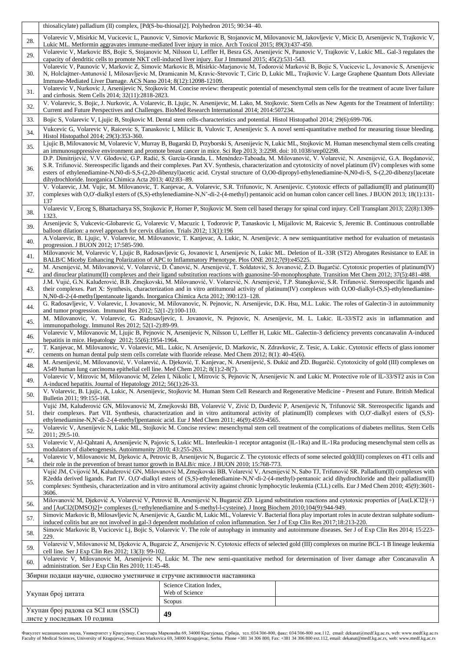|                                                                         | thiosalicylate) palladium (II) complex, [Pd(S-bu-thiosal)2]. Polyhedron 2015; 90:34–40.                                                                                                                                                                                                                                                                                                                                                                                                                                                       |                                           |  |  |  |  |  |  |
|-------------------------------------------------------------------------|-----------------------------------------------------------------------------------------------------------------------------------------------------------------------------------------------------------------------------------------------------------------------------------------------------------------------------------------------------------------------------------------------------------------------------------------------------------------------------------------------------------------------------------------------|-------------------------------------------|--|--|--|--|--|--|
| 28.                                                                     | Volarevic V, Misirkic M, Vucicevic L, Paunovic V, Simovic Markovic B, Stojanovic M, Milovanovic M, Jakovljevic V, Micic D, Arsenijevic N, Trajkovic V,<br>Lukic ML. Metformin aggravates immune-mediated liver injury in mice. Arch Toxicol 2015; 89(3):437-450.                                                                                                                                                                                                                                                                              |                                           |  |  |  |  |  |  |
| 29.                                                                     | Volarevic V, Markovic BS, Bojic S, Stojanovic M, Nilsson U, Leffler H, Besra GS, Arsenijevic N, Paunovic V, Trajkovic V, Lukic ML. Gal-3 regulates the<br>capacity of dendritic cells to promote NKT cell-induced liver injury. Eur J Immunol 2015; 45(2):531-543.                                                                                                                                                                                                                                                                            |                                           |  |  |  |  |  |  |
| 30.                                                                     | Volarevic V, Paunovic V, Markovic Z, Simovic Markovic B, Misirkic-Marjanovic M, Todorović Marković B, Bojic S, Vucicevic L, Jovanovic S, Arsenijevic<br>N, Holclajtner-Antunović I, Milosavljevic M, Dramicanin M, Kravic-Stevovic T, Ciric D, Lukic ML, Trajkovic V. Large Graphene Quantum Dots Alleviate<br>Immune-Mediated Liver Damage. ACS Nano 2014; 8(12):12098-12109.                                                                                                                                                                |                                           |  |  |  |  |  |  |
| 31.                                                                     | Volarevic V, Nurkovic J, Arsenijevic N, Stojkovic M. Concise review: therapeutic potential of mesenchymal stem cells for the treatment of acute liver failure<br>and cirrhosis. Stem Cells 2014; 32(11):2818-2823.                                                                                                                                                                                                                                                                                                                            |                                           |  |  |  |  |  |  |
| 32.                                                                     | V. Volarevic, S. Bojic, J. Nurkovic, A. Volarevic, B. Ljujic, N. Arsenijevic, M. Lako, M. Stojkovic. Stem Cells as New Agents for the Treatment of Infertility:<br>Current and Future Perspectives and Challenges. BioMed Research International 2014; 2014:507234.                                                                                                                                                                                                                                                                           |                                           |  |  |  |  |  |  |
| 33.                                                                     | Bojic S, Volarevic V, Ljujic B, Stojkovic M. Dental stem cells-characteristics and potential. Histol Histopathol 2014; 29(6):699-706.                                                                                                                                                                                                                                                                                                                                                                                                         |                                           |  |  |  |  |  |  |
| 34.                                                                     | Vukcevic G, Volarevic V, Raicevic S, Tanaskovic I, Milicic B, Vulovic T, Arsenijevic S. A novel semi-quantitative method for measuring tissue bleeding.<br>Histol Histopathol 2014; 29(3):353-360.                                                                                                                                                                                                                                                                                                                                            |                                           |  |  |  |  |  |  |
| 35.                                                                     | Ljujic B, Milovanovic M, Volarevic V, Murray B, Bugarski D, Przyborski S, Arsenijevic N, Lukic ML, Stojkovic M. Human mesenchymal stem cells creating<br>an immunosuppressive environment and promote breast cancer in mice. Sci Rep 2013; 3:2298. doi: 10.1038/srep02298.                                                                                                                                                                                                                                                                    |                                           |  |  |  |  |  |  |
| 36.                                                                     | D.P. Dimitrijević, V.V. Glođović, G.P. Radić, S. García-Granda, L. Menéndez-Taboada, M. Milovanović, V. Volarević, N. Arsenijević, G.A. Bogdanović,<br>S.R. Trifunović. Stereospecific ligands and their complexes. Part XV. Synthesis, characterization and cytotoxicity of novel platinum (IV) complexes with some<br>esters of ethylenediamine-N,N0-di-S,S-(2,20-dibenzyl)acetic acid. Crystal structure of O,O0-dipropyl-ethylenediamine-N,N0-di-S, S-(2,20-dibenzyl)acetate<br>dihydrochloride. Inorganica Chimica Acta 2013; 402:83-89. |                                           |  |  |  |  |  |  |
| 37.                                                                     | V. Volarevic, J.M. Vujic, M. Milovanovic, T. Kanjevac, A. Volarevic, S.R. Trifunovic, N. Arsenijevic. Cytotoxic effects of palladium(II) and platinum(II)<br>complexes with O,O'-dialkyl esters of (S,S)-ethylenediamine-N,N'-di-2-(4-methyl) pentanoic acid on human colon cancer cell lines. J BUON 2013; 18(1):131-<br>137                                                                                                                                                                                                                 |                                           |  |  |  |  |  |  |
| 38.                                                                     | Volarevic V, Erceg S, Bhattacharya SS, Stojkovic P, Horner P, Stojkovic M. Stem cell based therapy for spinal cord injury. Cell Transplant 2013; 22(8):1309-<br>1323.                                                                                                                                                                                                                                                                                                                                                                         |                                           |  |  |  |  |  |  |
| 39.                                                                     | Arsenijevic S, Vukcevic-Globarevic G, Volarevic V, Macuzic I, Todorovic P, Tanaskovic I, Mijailovic M, Raicevic S, Jeremic B. Continuous controllable<br>balloon dilation: a novel approach for cervix dilation. Trials 2012; 13(1):196                                                                                                                                                                                                                                                                                                       |                                           |  |  |  |  |  |  |
| 40.                                                                     | A.Volarevic, B. Ljujic, V. Volarevic, M. Milovanovic, T. Kanjevac, A. Lukic, N. Arsenijevic. A new semiquantitative method for evaluation of metastasis<br>progression. J BUON 2012; 17:585-590.                                                                                                                                                                                                                                                                                                                                              |                                           |  |  |  |  |  |  |
| 41.                                                                     | Milovanovic M, Volarevic V, Ljujic B, Radosavljevic G, Jovanovic I, Arsenijevic N, Lukic ML. Deletion of IL-33R (ST2) Abrogates Resistance to EAE in<br>BALB/C Miceby Enhancing Polarization of APC to Inflammatory Phenotype. Plos ONE 2012;7(9):e45225.                                                                                                                                                                                                                                                                                     |                                           |  |  |  |  |  |  |
| 42.                                                                     | M. Arsenijević, M. Milovanović, V. Volarević, D. Čanović, N. Arsenijević, T. Soldatović, S. Jovanović, Ž.D. Bugarčić. Cytotoxic properties of platinum(IV)<br>and dinuclear platinum(II) complexes and their ligand substitution reactions with guanosine-50-monophosphate. Transition Met Chem 2012; 37(5):481-488.                                                                                                                                                                                                                          |                                           |  |  |  |  |  |  |
| 43.                                                                     | J.M. Vujić, G.N. Kaluđerović, B.B. Zmejkovski, M. Milovanović, V. Volarević, N. Arsenijević, T.P. Stanojković, S.R. Trifunović. Stereospecific ligands and<br>their complexes. Part X: Synthesis, characterization and in vitro antitumoral activity of platinum(IV) complexes with O,O0-dialkyl-(S,S)-ethylenediamine-<br>N, N0-di-2-(4-methyl) pentanoate ligands. Inorganica Chimica Acta 2012; 390:123–128.                                                                                                                               |                                           |  |  |  |  |  |  |
| 44.                                                                     | G. Radosavljevic, V. Volarevic, I. Jovanovic, M. Milovanovic, N. Pejnovic, N. Arsenijevic, D.K. Hsu, M.L. Lukic. The roles of Galectin-3 in autoimmunity<br>and tumor progression. Immunol Res $2012$ ; $52(1-2)$ : 100-110.                                                                                                                                                                                                                                                                                                                  |                                           |  |  |  |  |  |  |
| 45.                                                                     | M. Milovanovic, V. Volarevic, G. Radosavljevic, I. Jovanovic, N. Pejnovic, N. Arsenijevic, M. L. Lukic. IL-33/ST2 axis in inflammation and<br>immunopathology. Immunol Res 2012; 52(1-2):89-99.                                                                                                                                                                                                                                                                                                                                               |                                           |  |  |  |  |  |  |
| 46.                                                                     | Volarevic V, Milovanovic M, Ljujic B, Pejnovic N, Arsenijevic N, Nilsson U, Leffler H, Lukic ML. Galectin-3 deficiency prevents concanavalin A-induced<br>hepatitis in mice. Hepatology 2012; 55(6):1954-1964.                                                                                                                                                                                                                                                                                                                                |                                           |  |  |  |  |  |  |
| 47.                                                                     | T. Kanjevac, M. Milovanovic, V. Volarevic, ML. Lukic, N. Arsenijevic, D. Markovic, N. Zdravkovic, Z. Tesic, A. Lukic. Cytotoxic effects of glass ionomer<br>cements on human dental pulp stem cells correlate with fluoride release. Med Chem 2012; 8(1): 40-45(6).                                                                                                                                                                                                                                                                           |                                           |  |  |  |  |  |  |
| 48.                                                                     | M. Arsenijević, M. Milovanović, V. Volarević, A. Djeković, T. Kanjevac, N. Arsenijević, S. Đukić and ŽD. Bugarčić. Cytotoxicity of gold (III) complexes on<br>A549 human lung carcinoma epithelial cell line. Med Chem 2012; 8(1):2-8(7).                                                                                                                                                                                                                                                                                                     |                                           |  |  |  |  |  |  |
| 49.                                                                     | Volarevic V, Mitrovic M, Milovanovic M, Zelen I, Nikolic I, Mitrovic S, Pejnovic N, Arsenijevic N. and Lukic M. Protective role of IL-33/ST2 axis in Con<br>A-induced hepatitis. Journal of Hepatology 2012; 56(1):26-33.                                                                                                                                                                                                                                                                                                                     |                                           |  |  |  |  |  |  |
| 50.                                                                     | V. Volarevic, B. Ljujic, A, Lukic, N. Arsenijevic, Stojkovic M. Human Stem Cell Research and Regenerative Medicine - Present and Future. British Medical<br>Bulletin 2011; 99:155-168.                                                                                                                                                                                                                                                                                                                                                        |                                           |  |  |  |  |  |  |
| 51.                                                                     | Vujić JM, Kaluđerović GN, Milovanović M, Zmejkovski BB, Volarević V, Zivić D, Durđević P, Arsenijević N, Trifunović SR. Stereospecific ligands and<br>their complexes. Part VII. Synthesis, characterization and in vitro antitumoral activity of platinum(II) complexes with O.O'-dialkyl esters of (S.S)-<br>ethylenediamine-N,N'-di-2-(4-methyl)pentanoic acid. Eur J Med Chem 2011; 46(9):4559-4565.                                                                                                                                      |                                           |  |  |  |  |  |  |
| 52.                                                                     | Volarevic V, Arsenijevic N, Lukic ML, Stojkovic M. Concise review: mesenchymal stem cell treatment of the complications of diabetes mellitus. Stem Cells<br>2011: 29:5-10.                                                                                                                                                                                                                                                                                                                                                                    |                                           |  |  |  |  |  |  |
| 53.                                                                     | Volarevic V, Al-Qahtani A, Arsenijevic N, Pajovic S, Lukic ML. Interleukin-1 receptor antagonist (IL-1Ra) and IL-1Ra producing mesenchymal stem cells as<br>modulators of diabetogenesis. Autoimmunity 2010; 43:255-263.                                                                                                                                                                                                                                                                                                                      |                                           |  |  |  |  |  |  |
| 54.                                                                     | Volarevic V, Milovanovic M, Djekovic A, Petrovic B, Arsenijevic N, Bugarcic Z. The cytotoxic effects of some selected gold(III) complexes on 4T1 cells and<br>their role in the prevention of breast tumor growth in BALB/c mice. J BUON 2010; 15:768-773.                                                                                                                                                                                                                                                                                    |                                           |  |  |  |  |  |  |
| 55.                                                                     | Vujić JM, Cvijović M, Kaluderović GN, Milovanović M, Zmejkovski BB, Volarević V, Arsenijević N, Sabo TJ, Trifunović SR. Palladium(II) complexes with<br>R2edda derived ligands. Part IV. O,O'-dialkyl esters of (S,S)-ethylenediamine-N,N'-di-2-(4-methyl)-pentanoic acid dihydrochloride and their palladium(II)<br>complexes: Synthesis, characterization and in vitro antitumoral activity against chronic lymphocytic leukemia (CLL) cells. Eur J Med Chem 2010; 45(9):3601-                                                              |                                           |  |  |  |  |  |  |
| 56.                                                                     | 3606.<br>Milovanović M, Djeković A, Volarević V, Petrović B, Arsenijević N, Bugarcić ZD. Ligand substitution reactions and cytotoxic properties of [Au(L)Cl2](+)<br>and [AuCl2(DMSO)2]+ complexes (L=ethylenediamine and S-methyl-l-cysteine). J Inorg Biochem 2010;104(9):944-949.                                                                                                                                                                                                                                                           |                                           |  |  |  |  |  |  |
| 57.                                                                     | Simovic Markovic B, Milosavljevic N, Arsenijevic A, Gazdic M, Lukic ML, Volarevic V. Bacterial flora play important roles in acute dextran sulphate sodium-<br>induced colitis but are not involved in gal-3 dependent modulation of colon inflammation. Ser J of Exp Clin Res 2017;18:213-220.                                                                                                                                                                                                                                               |                                           |  |  |  |  |  |  |
| 58.                                                                     | Simovic Markovic B, Vucicevic Lj, Bojic S, Volarevic V. The role of autophagy in immunity and autoimmune diseases. Ser J of Exp Clin Res 2014; 15:223-<br>229.                                                                                                                                                                                                                                                                                                                                                                                |                                           |  |  |  |  |  |  |
| 59.                                                                     | Volarević V, Milovanović M, Djekovic A, Bugarcic Z, Arsenijevic N. Cytotoxic effects of selected gold (III) complexes on murine BCL-1 B lineage leukemia<br>cell line. Ser J Exp Clin Res 2012; 13(3): 99-102.                                                                                                                                                                                                                                                                                                                                |                                           |  |  |  |  |  |  |
| 60.                                                                     | Volarevic V, Milovanovic M, Arsenijevic N, Lukic M. The new semi-quantitative method for determination of liver damage after Concanavalin A<br>administration. Ser J Exp Clin Res 2010; 11:45-48.                                                                                                                                                                                                                                                                                                                                             |                                           |  |  |  |  |  |  |
| Збирни подаци научне, односно уметничке и стручне активности наставника |                                                                                                                                                                                                                                                                                                                                                                                                                                                                                                                                               |                                           |  |  |  |  |  |  |
|                                                                         | Укупан број цитата                                                                                                                                                                                                                                                                                                                                                                                                                                                                                                                            | Science Citation Index,<br>Web of Science |  |  |  |  |  |  |
|                                                                         | Укупан број радова са SCI или (SSCI)                                                                                                                                                                                                                                                                                                                                                                                                                                                                                                          | Scopus                                    |  |  |  |  |  |  |
|                                                                         | листе у последњих 10 година                                                                                                                                                                                                                                                                                                                                                                                                                                                                                                                   | 49                                        |  |  |  |  |  |  |

Факултет медицинских наука, Универзитет у Крагујевцу, Светозара Марковића б9, 34000 Карујевац, Србија, тел:034/306-800, факс: 034/306-800 лок.112, email: dekanat@medf.kg.ac.rs, web: www.medf.kg.ac.rs<br>Faculty of Medical Sc